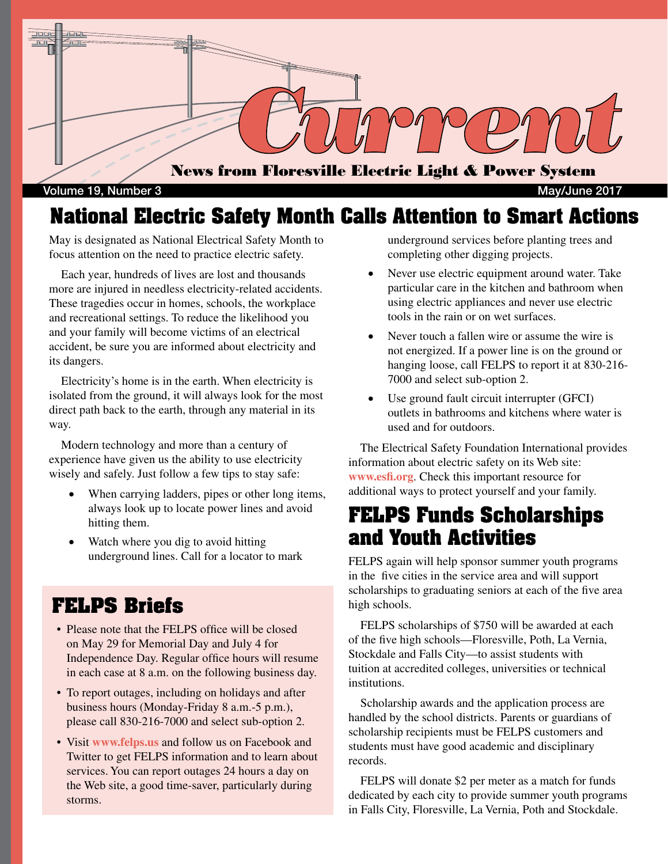

#### Volume 19, Number 3 May/June 2017

## **National Electric Safety Month Calls Attention to Smart Actions**

May is designated as National Electrical Safety Month to focus attention on the need to practice electric safety.

 Each year, hundreds of lives are lost and thousands more are injured in needless electricity-related accidents. These tragedies occur in homes, schools, the workplace and recreational settings. To reduce the likelihood you and your family will become victims of an electrical accident, be sure you are informed about electricity and its dangers.

 Electricity's home is in the earth. When electricity is isolated from the ground, it will always look for the most direct path back to the earth, through any material in its way.

 Modern technology and more than a century of experience have given us the ability to use electricity wisely and safely. Just follow a few tips to stay safe:

- When carrying ladders, pipes or other long items, always look up to locate power lines and avoid hitting them.
- Watch where you dig to avoid hitting underground lines. Call for a locator to mark

### **FELPS Briefs**

- Please note that the FELPS office will be closed on May 29 for Memorial Day and July 4 for Independence Day. Regular office hours will resume in each case at 8 a.m. on the following business day.
- To report outages, including on holidays and after business hours (Monday-Friday 8 a.m.-5 p.m.), please call 830-216-7000 and select sub-option 2.
- Visit **www.felps.us** and follow us on Facebook and Twitter to get FELPS information and to learn about services. You can report outages 24 hours a day on the Web site, a good time-saver, particularly during storms.

underground services before planting trees and completing other digging projects.

- Never use electric equipment around water. Take particular care in the kitchen and bathroom when using electric appliances and never use electric tools in the rain or on wet surfaces.
- Never touch a fallen wire or assume the wire is not energized. If a power line is on the ground or hanging loose, call FELPS to report it at 830-216- 7000 and select sub-option 2.
- Use ground fault circuit interrupter (GFCI) outlets in bathrooms and kitchens where water is used and for outdoors.

 The Electrical Safety Foundation International provides information about electric safety on its Web site: **www.esfi.org**. Check this important resource for additional ways to protect yourself and your family.

### **FELPS Funds Scholarships and Youth Activities**

FELPS again will help sponsor summer youth programs in the five cities in the service area and will support scholarships to graduating seniors at each of the five area high schools.

 FELPS scholarships of \$750 will be awarded at each of the five high schools—Floresville, Poth, La Vernia, Stockdale and Falls City—to assist students with tuition at accredited colleges, universities or technical institutions.

 Scholarship awards and the application process are handled by the school districts. Parents or guardians of scholarship recipients must be FELPS customers and students must have good academic and disciplinary records.

 FELPS will donate \$2 per meter as a match for funds dedicated by each city to provide summer youth programs in Falls City, Floresville, La Vernia, Poth and Stockdale.